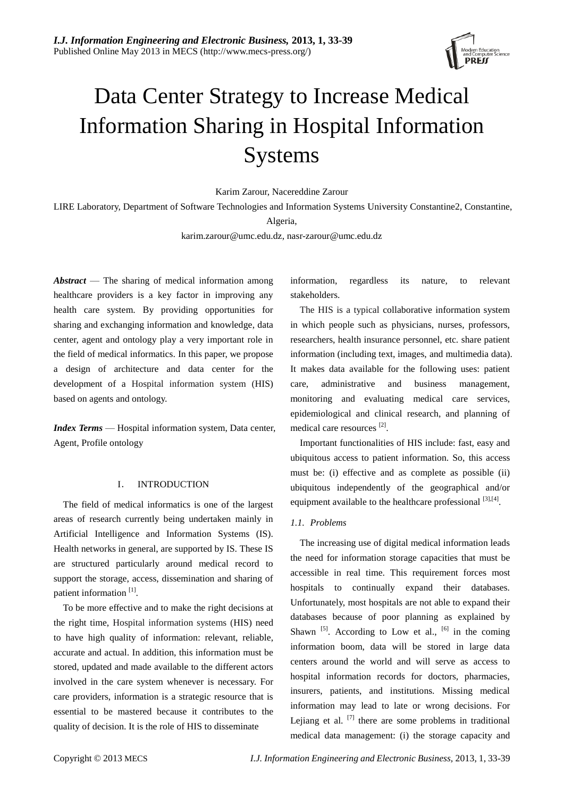

# Data Center Strategy to Increase Medical Information Sharing in Hospital Information Systems

Karim Zarour, Nacereddine Zarour

LIRE Laboratory, Department of Software Technologies and Information Systems University Constantine2, Constantine,

Algeria,

[karim.zarour@umc.edu.dz,](mailto:karim.zarour@umc.edu.dz) nasr-zarour@umc.edu.dz

*Abstract* — The sharing of medical information among healthcare providers is a key factor in improving any health care system. By providing opportunities for sharing and exchanging information and knowledge, data center, agent and ontology play a very important role in the field of medical informatics. In this paper, we propose a design of architecture and data center for the development of a Hospital information system (HIS) based on agents and ontology.

*Index Terms* — Hospital information system, Data center, Agent, Profile ontology

## I. INTRODUCTION

The field of medical informatics is one of the largest areas of research currently being undertaken mainly in Artificial Intelligence and Information Systems (IS). Health networks in general, are supported by IS. These IS are structured particularly around medical record to support the storage, access, dissemination and sharing of patient information<sup>[1]</sup>.

To be more effective and to make the right decisions at the right time, Hospital information systems (HIS) need to have high quality of information: relevant, reliable, accurate and actual. In addition, this information must be stored, updated and made available to the different actors involved in the care system whenever is necessary. For care providers, information is a strategic resource that is essential to be mastered because it contributes to the quality of decision. It is the role of HIS to disseminate

information, regardless its nature, to relevant stakeholders.

The HIS is a typical collaborative information system in which people such as physicians, nurses, professors, researchers, health insurance personnel, etc. share patient information (including text, images, and multimedia data). It makes data available for the following uses: patient care, administrative and business management, monitoring and evaluating medical care services, epidemiological and clinical research, and planning of medical care resources<sup>[2]</sup>.

Important functionalities of HIS include: fast, easy and ubiquitous access to patient information. So, this access must be: (i) effective and as complete as possible (ii) ubiquitous independently of the geographical and/or equipment available to the healthcare professional [3],[4].

## *1.1. Problems*

The increasing use of digital medical information leads the need for information storage capacities that must be accessible in real time. This requirement forces most hospitals to continually expand their databases. Unfortunately, most hospitals are not able to expand their databases because of poor planning as explained by Shawn  $^{[5]}$ . According to Low et al.,  $^{[6]}$  in the coming information boom, data will be stored in large data centers around the world and will serve as access to hospital information records for doctors, pharmacies, insurers, patients, and institutions. Missing medical information may lead to late or wrong decisions. For Lejiang et al.  $^{[7]}$  there are some problems in traditional medical data management: (i) the storage capacity and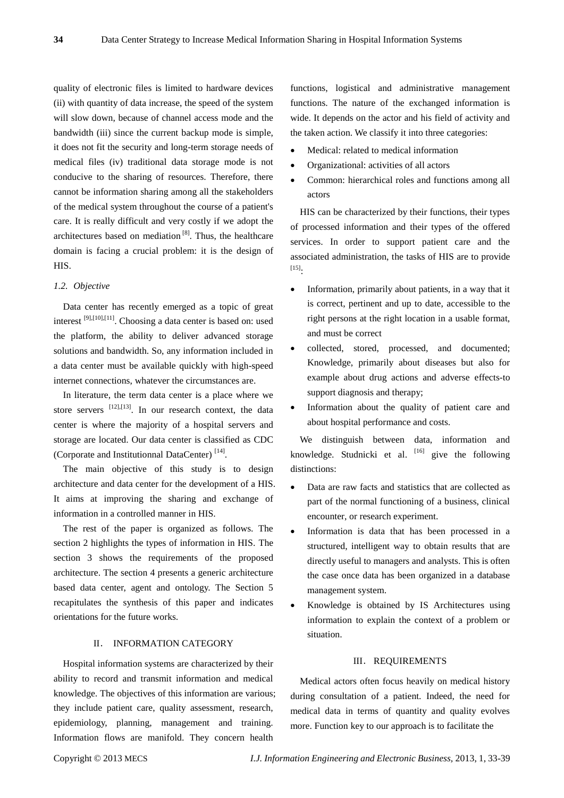quality of electronic files is limited to hardware devices (ii) with quantity of data increase, the speed of the system will slow down, because of channel access mode and the bandwidth (iii) since the current backup mode is simple, it does not fit the security and long-term storage needs of medical files (iv) traditional data storage mode is not conducive to the sharing of resources. Therefore, there cannot be information sharing among all the stakeholders of the medical system throughout the course of a patient's care. It is really difficult and very costly if we adopt the architectures based on mediation<sup>[8]</sup>. Thus, the healthcare domain is facing a crucial problem: it is the design of HIS.

# *1.2. Objective*

Data center has recently emerged as a topic of great interest <sup>[9],[10],[11]</sup>. Choosing a data center is based on: used the platform, the ability to deliver advanced storage solutions and bandwidth. So, any information included in a data center must be available quickly with high-speed internet connections, whatever the circumstances are.

In literature, the term data center is a place where we store servers  $[12]$ , $[13]$ . In our research context, the data center is where the majority of a hospital servers and storage are located. Our data center is classified as CDC (Corporate and Institutionnal DataCenter)<sup>[14]</sup>.

The main objective of this study is to design architecture and data center for the development of a HIS. It aims at improving the sharing and exchange of information in a controlled manner in HIS.

The rest of the paper is organized as follows. The section 2 highlights the types of information in HIS. The section 3 shows the requirements of the proposed architecture. The section 4 presents a generic architecture based data center, agent and ontology. The Section 5 recapitulates the synthesis of this paper and indicates orientations for the future works.

#### II. INFORMATION CATEGORY

Hospital information systems are characterized by their ability to record and transmit information and medical knowledge. The objectives of this information are various; they include patient care, quality assessment, research, epidemiology, planning, management and training. Information flows are manifold. They concern health

functions, logistical and administrative management functions. The nature of the exchanged information is wide. It depends on the actor and his field of activity and the taken action. We classify it into three categories:

- Medical: related to medical information
- Organizational: activities of all actors
- Common: hierarchical roles and functions among all actors

HIS can be characterized by their functions, their types of processed information and their types of the offered services. In order to support patient care and the associated administration, the tasks of HIS are to provide  $^{[15]}$ :

- Information, primarily about patients, in a way that it is correct, pertinent and up to date, accessible to the right persons at the right location in a usable format, and must be correct
- collected, stored, processed, and documented; Knowledge, primarily about diseases but also for example about drug actions and adverse effects-to support diagnosis and therapy;
- Information about the quality of patient care and about hospital performance and costs.

We distinguish between data, information and knowledge. Studnicki et al. [16] give the following distinctions:

- Data are raw facts and statistics that are collected as part of the normal functioning of a business, clinical encounter, or research experiment.
- Information is data that has been processed in a structured, intelligent way to obtain results that are directly useful to managers and analysts. This is often the case once data has been organized in a database management system.
- Knowledge is obtained by IS Architectures using information to explain the context of a problem or situation.

### III. REQUIREMENTS

Medical actors often focus heavily on medical history during consultation of a patient. Indeed, the need for medical data in terms of quantity and quality evolves more. Function key to our approach is to facilitate the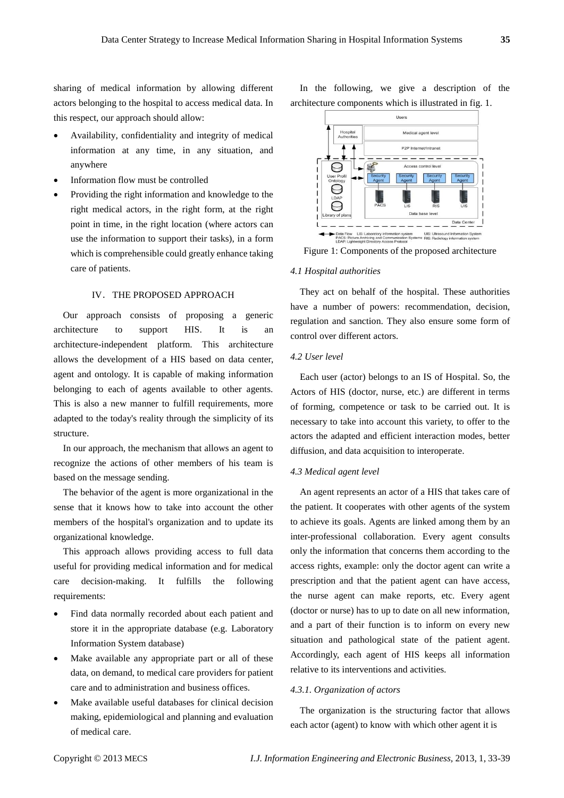sharing of medical information by allowing different actors belonging to the hospital to access medical data. In this respect, our approach should allow:

- Availability, confidentiality and integrity of medical information at any time, in any situation, and anywhere
- Information flow must be controlled
- Providing the right information and knowledge to the right medical actors, in the right form, at the right point in time, in the right location (where actors can use the information to support their tasks), in a form which is comprehensible could greatly enhance taking care of patients.

## IV.THE PROPOSED APPROACH

Our approach consists of proposing a generic architecture to support HIS. It is an architecture-independent platform. This architecture allows the development of a HIS based on data center, agent and ontology. It is capable of making information belonging to each of agents available to other agents. This is also a new manner to fulfill requirements, more adapted to the today's reality through the simplicity of its structure.

In our approach, the mechanism that allows an agent to recognize the actions of other members of his team is based on the message sending.

The behavior of the agent is more organizational in the sense that it knows how to take into account the other members of the hospital's organization and to update its organizational knowledge.

This approach allows providing access to full data useful for providing medical information and for medical care decision-making. It fulfills the following requirements:

- Find data normally recorded about each patient and store it in the appropriate database (e.g. Laboratory Information System database)
- Make available any appropriate part or all of these data, on demand, to medical care providers for patient care and to administration and business offices.
- Make available useful databases for clinical decision making, epidemiological and planning and evaluation of medical care.

In the following, we give a description of the architecture components which is illustrated in fig. 1.



Figure 1: Components of the proposed architecture

#### *4.1 Hospital authorities*

They act on behalf of the hospital. These authorities have a number of powers: recommendation, decision, regulation and sanction. They also ensure some form of control over different actors.

## *4.2 User level*

Each user (actor) belongs to an IS of Hospital. So, the Actors of HIS (doctor, nurse, etc.) are different in terms of forming, competence or task to be carried out. It is necessary to take into account this variety, to offer to the actors the adapted and efficient interaction modes, better diffusion, and data acquisition to interoperate.

### *4.3 Medical agent level*

An agent represents an actor of a HIS that takes care of the patient. It cooperates with other agents of the system to achieve its goals. Agents are linked among them by an inter-professional collaboration. Every agent consults only the information that concerns them according to the access rights, example: only the doctor agent can write a prescription and that the patient agent can have access, the nurse agent can make reports, etc. Every agent (doctor or nurse) has to up to date on all new information, and a part of their function is to inform on every new situation and pathological state of the patient agent. Accordingly, each agent of HIS keeps all information relative to its interventions and activities.

#### *4.3.1. Organization of actors*

The organization is the structuring factor that allows each actor (agent) to know with which other agent it is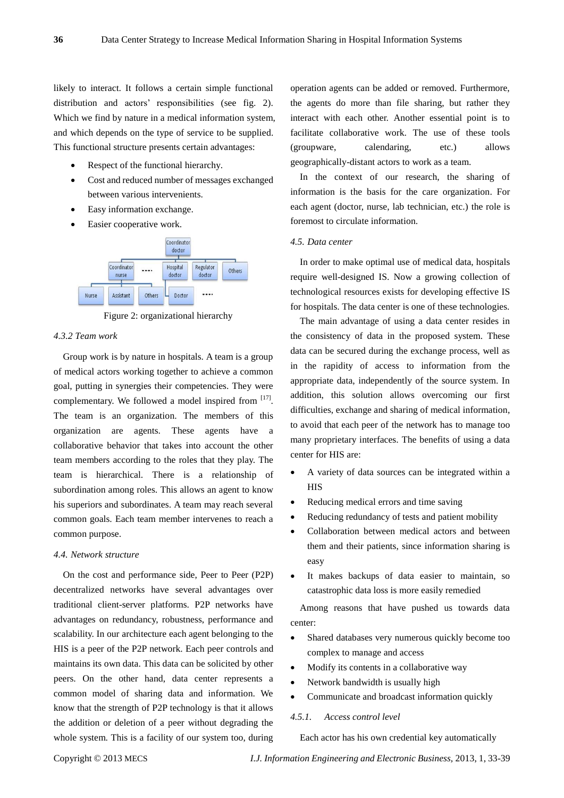likely to interact. It follows a certain simple functional distribution and actors' responsibilities (see fig. 2). Which we find by nature in a medical information system, and which depends on the type of service to be supplied. This functional structure presents certain advantages:

- Respect of the functional hierarchy.
- Cost and reduced number of messages exchanged between various intervenients.
- Easy information exchange.
- Easier cooperative work.



Figure 2: organizational hierarchy

## *4.3.2 Team work*

Group work is by nature in hospitals. A team is a group of medical actors working together to achieve a common goal, putting in synergies their competencies. They were complementary. We followed a model inspired from  $[17]$ . The team is an organization. The members of this organization are agents. These agents have collaborative behavior that takes into account the other team members according to the roles that they play. The team is hierarchical. There is a relationship of subordination among roles. This allows an agent to know his superiors and subordinates. A team may reach several common goals. Each team member intervenes to reach a common purpose.

#### *4.4. Network structure*

On the cost and performance side, Peer to Peer (P2P) decentralized networks have several advantages over traditional client-server platforms. P2P networks have advantages on redundancy, robustness, performance and scalability. In our architecture each agent belonging to the HIS is a peer of the P2P network. Each peer controls and maintains its own data. This data can be solicited by other peers. On the other hand, data center represents a common model of sharing data and information. We know that the strength of P2P technology is that it allows the addition or deletion of a peer without degrading the whole system. This is a facility of our system too, during operation agents can be added or removed. Furthermore, the agents do more than file sharing, but rather they interact with each other. Another essential point is to facilitate collaborative work. The use of these tools (groupware, calendaring, etc.) allows geographically-distant actors to work as a team.

In the context of our research, the sharing of information is the basis for the care organization. For each agent (doctor, nurse, lab technician, etc.) the role is foremost to circulate information.

#### *4.5. Data center*

In order to make optimal use of medical data, hospitals require well-designed IS. Now a growing collection of technological resources exists for developing effective IS for hospitals. The data center is one of these technologies.

The main advantage of using a data center resides in the consistency of data in the proposed system. These data can be secured during the exchange process, well as in the rapidity of access to information from the appropriate data, independently of the source system. In addition, this solution allows overcoming our first difficulties, exchange and sharing of medical information, to avoid that each peer of the network has to manage too many proprietary interfaces. The benefits of using a data center for HIS are:

- A variety of data sources can be integrated within a HIS
- Reducing medical errors and time saving
- Reducing redundancy of tests and patient mobility
- Collaboration between medical actors and between them and their patients, since information sharing is easy
- It makes backups of data easier to maintain, so catastrophic data loss is more easily remedied

Among reasons that have pushed us towards data center:

- Shared databases very numerous quickly become too complex to manage and access
- Modify its contents in a collaborative way
- Network bandwidth is usually high
- Communicate and broadcast information quickly

#### *4.5.1. Access control level*

Each actor has his own credential key automatically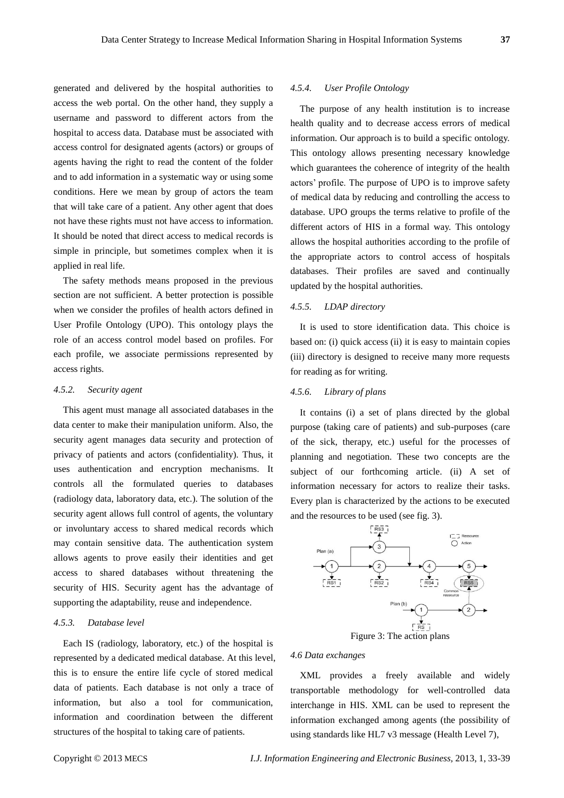generated and delivered by the hospital authorities to access the web portal. On the other hand, they supply a username and password to different actors from the hospital to access data. Database must be associated with access control for designated agents (actors) or groups of agents having the right to read the content of the folder and to add information in a systematic way or using some conditions. Here we mean by group of actors the team that will take care of a patient. Any other agent that does not have these rights must not have access to information. It should be noted that direct access to medical records is simple in principle, but sometimes complex when it is applied in real life.

The safety methods means proposed in the previous section are not sufficient. A better protection is possible when we consider the profiles of health actors defined in User Profile Ontology (UPO). This ontology plays the role of an access control model based on profiles. For each profile, we associate permissions represented by access rights.

### *4.5.2. Security agent*

This agent must manage all associated databases in the data center to make their manipulation uniform. Also, the security agent manages data security and protection of privacy of patients and actors (confidentiality). Thus, it uses authentication and encryption mechanisms. It controls all the formulated queries to databases (radiology data, laboratory data, etc.). The solution of the security agent allows full control of agents, the voluntary or involuntary access to shared medical records which may contain sensitive data. The authentication system allows agents to prove easily their identities and get access to shared databases without threatening the security of HIS. Security agent has the advantage of supporting the adaptability, reuse and independence.

## *4.5.3. Database level*

Each IS (radiology, laboratory, etc.) of the hospital is represented by a dedicated medical database. At this level, this is to ensure the entire life cycle of stored medical data of patients. Each database is not only a trace of information, but also a tool for communication, information and coordination between the different structures of the hospital to taking care of patients.

## *4.5.4. User Profile Ontology*

The purpose of any health institution is to increase health quality and to decrease access errors of medical information. Our approach is to build a specific ontology. This ontology allows presenting necessary knowledge which guarantees the coherence of integrity of the health actors' profile. The purpose of UPO is to improve safety of medical data by reducing and controlling the access to database. UPO groups the terms relative to profile of the different actors of HIS in a formal way. This ontology allows the hospital authorities according to the profile of the appropriate actors to control access of hospitals databases. Their profiles are saved and continually updated by the hospital authorities.

## *4.5.5. LDAP directory*

It is used to store identification data. This choice is based on: (i) quick access (ii) it is easy to maintain copies (iii) directory is designed to receive many more requests for reading as for writing.

## *4.5.6. Library of plans*

It contains (i) a set of plans directed by the global purpose (taking care of patients) and sub-purposes (care of the sick, therapy, etc.) useful for the processes of planning and negotiation. These two concepts are the subject of our forthcoming article. (ii) A set of information necessary for actors to realize their tasks. Every plan is characterized by the actions to be executed and the resources to be used (see fig. 3).



Figure 3: The action plans

## *4.6 Data exchanges*

XML provides a freely available and widely transportable methodology for well-controlled data interchange in HIS. XML can be used to represent the information exchanged among agents (the possibility of using standards like HL7 v3 message (Health Level 7),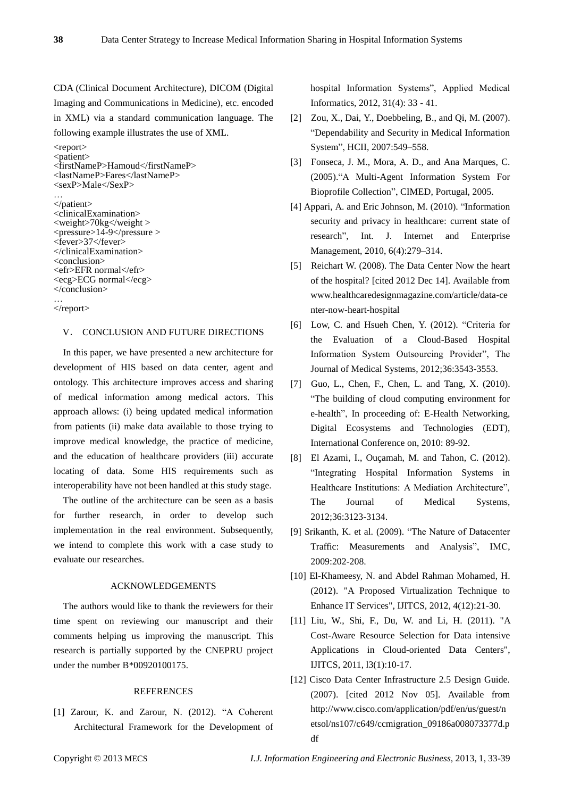CDA (Clinical Document Architecture), DICOM (Digital Imaging and Communications in Medicine), etc. encoded in XML) via a standard communication language. The following example illustrates the use of XML.

```
<report>
<patient>
<firstNameP>Hamoud</firstNameP>
<lastNameP>Fares</lastNameP>
<sexP>Male</SexP>
…
</patient>
<clinicalExamination>
<weight>70kg</weight >
<pressure>14-9</pressure >
<fever>37</fever>
</clinicalExamination>
<conclusion>
<efr>EFR normal</efr>
<ecg>ECG normal</ecg>
</conclusion>
```
#### … </report>

## V. CONCLUSION AND FUTURE DIRECTIONS

In this paper, we have presented a new architecture for development of HIS based on data center, agent and ontology. This architecture improves access and sharing of medical information among medical actors. This approach allows: (i) being updated medical information from patients (ii) make data available to those trying to improve medical knowledge, the practice of medicine, and the education of healthcare providers (iii) accurate locating of data. Some HIS requirements such as interoperability have not been handled at this study stage.

The outline of the architecture can be seen as a basis for further research, in order to develop such implementation in the real environment. Subsequently, we intend to complete this work with a case study to evaluate our researches.

## ACKNOWLEDGEMENTS

The authors would like to thank the reviewers for their time spent on reviewing our manuscript and their comments helping us improving the manuscript. This research is partially supported by the CNEPRU project under the number B\*00920100175.

## **REFERENCES**

[1] Zarour, K. and Zarour, N. (2012). "A Coherent Architectural Framework for the Development of hospital Information Systems", Applied Medical Informatics, 2012, 31(4): 33 - 41.

- [2] Zou, X., Dai, Y., Doebbeling, B., and Qi, M. (2007). ―Dependability and Security in Medical Information System", HCII, 2007:549-558.
- [3] Fonseca, J. M., Mora, A. D., and Ana Marques, C. (2005)."A Multi-Agent Information System For Bioprofile Collection", CIMED, Portugal, 2005.
- [4] Appari, A. and Eric Johnson, M. (2010). "Information security and privacy in healthcare: current state of research", Int. J. Internet and Enterprise Management, 2010, 6(4):279–314.
- [5] Reichart W. (2008). The Data Center Now the heart of the hospital? [cited 2012 Dec 14]. Available from www.healthcaredesignmagazine.com/article/data-ce nter-now-heart-hospital
- [6] Low, C. and Hsueh Chen, Y. (2012). "Criteria for the Evaluation of a Cloud-Based Hospital Information System Outsourcing Provider", The Journal of Medical Systems, 2012;36:3543-3553.
- [7] [Guo,](http://www.researchgate.net/researcher/69889084_Lejiang_Guo/) L., [Chen,](http://www.researchgate.net/researcher/70315014_Fangxin_Chen/) F., [Chen,](http://www.researchgate.net/researcher/75058284_Li_Chen/) L. and [Tang,](http://www.researchgate.net/researcher/69962215_Xiao_Tang/) X. (2010). ―The building of cloud computing environment for e-health", In proceeding of: E-Health Networking, Digital Ecosystems and Technologies (EDT), International Conference on, 2010: 89-92.
- [8] El Azami, I., Ouçamah, M. and Tahon, C. (2012). "Integrating Hospital Information Systems in Healthcare Institutions: A Mediation Architecture", The Journal of Medical Systems, 2012;36:3123-3134.
- [9] Srikanth, K. et al. (2009). "The Nature of Datacenter Traffic: Measurements and Analysis", IMC, 2009:202-208.
- [10] El-Khameesy, N. and Abdel Rahman Mohamed, H. (2012). "A Proposed Virtualization Technique to Enhance IT Services", IJITCS, 2012, 4(12):21-30.
- [11] Liu, W., Shi, F., Du, W. and Li, H. (2011). "A Cost-Aware Resource Selection for Data intensive Applications in Cloud-oriented Data Centers", IJITCS, 2011, l3(1):10-17.
- [12] Cisco Data Center Infrastructure 2.5 Design Guide. (2007). [cited 2012 Nov 05]. Available from http://www.cisco.com/application/pdf/en/us/guest/n etsol/ns107/c649/ccmigration\_09186a008073377d.p df